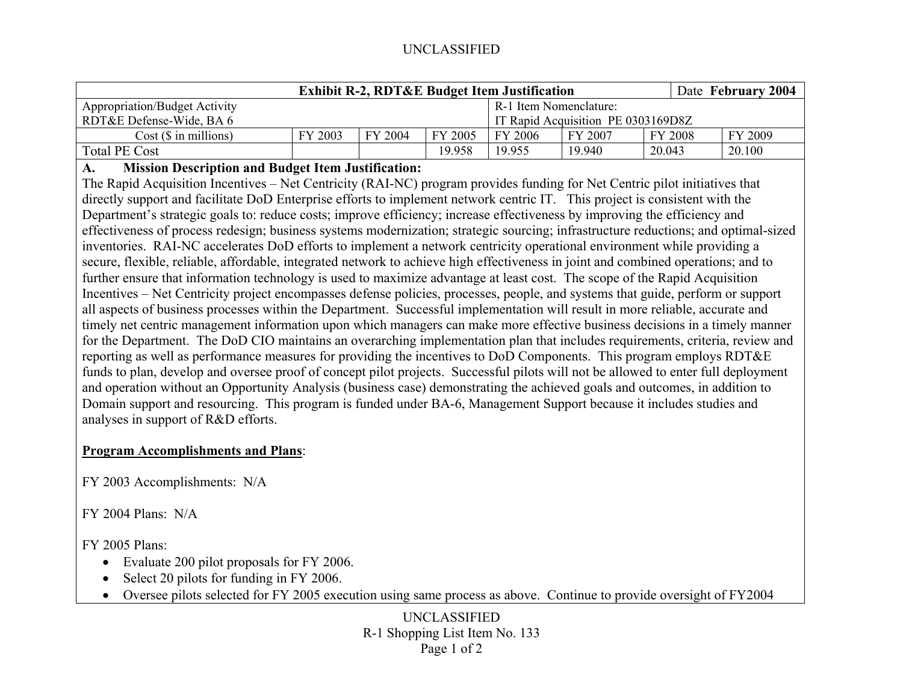# UNCLASSIFIED

| <b>Exhibit R-2, RDT&amp;E Budget Item Justification</b> |         |         |         |                                    |         |         | Date February 2004 |
|---------------------------------------------------------|---------|---------|---------|------------------------------------|---------|---------|--------------------|
| Appropriation/Budget Activity                           |         |         |         | R-1 Item Nomenclature:             |         |         |                    |
| RDT&E Defense-Wide, BA 6                                |         |         |         | IT Rapid Acquisition PE 0303169D8Z |         |         |                    |
| Cost(S in millions)                                     | FY 2003 | FY 2004 | FY 2005 | FY 2006                            | FY 2007 | FY 2008 | FY 2009            |
| Total PE Cost                                           |         |         | 19.958  | 19.955                             | 19.940  | 20.043  | 20.100             |

#### **A.Mission Description and Budget Item Justification:**

The Rapid Acquisition Incentives – Net Centricity (RAI-NC) program provides funding for Net Centric pilot initiatives that directly support and facilitate DoD Enterprise efforts to implement network centric IT. This project is consistent with the Department's strategic goals to: reduce costs; improve efficiency; increase effectiveness by improving the efficiency and effectiveness of process redesign; business systems modernization; strategic sourcing; infrastructure reductions; and optimal-sized inventories. RAI-NC accelerates DoD efforts to implement a network centricity operational environment while providing a secure, flexible, reliable, affordable, integrated network to achieve high effectiveness in joint and combined operations; and to further ensure that information technology is used to maximize advantage at least cost. The scope of the Rapid Acquisition Incentives – Net Centricity project encompasses defense policies, processes, people, and systems that guide, perform or support all aspects of business processes within the Department. Successful implementation will result in more reliable, accurate and timely net centric management information upon which managers can make more effective business decisions in a timely manner for the Department. The DoD CIO maintains an overarching implementation plan that includes requirements, criteria, review and reporting as well as performance measures for providing the incentives to DoD Components. This program employs RDT&E funds to plan, develop and oversee proof of concept pilot projects. Successful pilots will not be allowed to enter full deployment and operation without an Opportunity Analysis (business case) demonstrating the achieved goals and outcomes, in addition to Domain support and resourcing. This program is funded under BA-6, Management Support because it includes studies and analyses in support of R&D efforts.

# **Program Accomplishments and Plans**:

FY 2003 Accomplishments: N/A

 $FY$  2004 Plans: N/A

FY 2005 Plans:

- Evaluate 200 pilot proposals for FY 2006.
- $\bullet$ Select 20 pilots for funding in FY 2006.
- •Oversee pilots selected for FY 2005 execution using same process as above. Continue to provide oversight of FY2004

UNCLASSIFIED R-1 Shopping List Item No. 133 Page 1 of 2